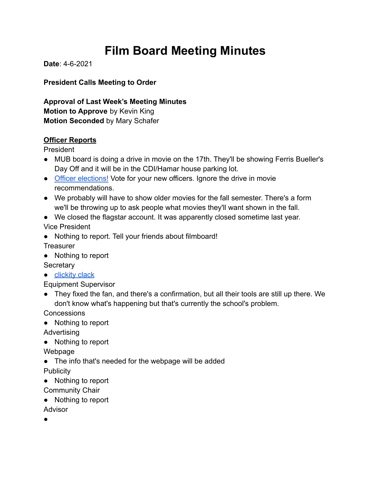# **Film Board Meeting Minutes**

**Date**: 4-6-2021

**President Calls Meeting to Order**

**Approval of Last Week's Meeting Minutes Motion to Approve** by Kevin King **Motion Seconded** by Mary Schafer

#### **Officer Reports**

President

- MUB board is doing a drive in movie on the 17th. They'll be showing Ferris Bueller's Day Off and it will be in the CDI/Hamar house parking lot.
- [Officer elections!](https://docs.google.com/forms/d/e/1FAIpQLSfnbvdvfxCKimhSQmBcUx8m71xdTfKkajXL4eaIB2f4Xj-RdA/viewform) Vote for your new officers. Ignore the drive in movie recommendations.
- We probably will have to show older movies for the fall semester. There's a form we'll be throwing up to ask people what movies they'll want shown in the fall.
- We closed the flagstar account. It was apparently closed sometime last year. Vice President
- Nothing to report. Tell your friends about filmboard!

**Treasurer** 

● Nothing to report

**Secretary** 

● **[clickity clack](https://youtu.be/dQw4w9WgXcQ)** 

Equipment Supervisor

● They fixed the fan, and there's a confirmation, but all their tools are still up there. We don't know what's happening but that's currently the school's problem.

**Concessions** 

● Nothing to report

Advertising

● Nothing to report

Webpage

● The info that's needed for the webpage will be added

**Publicity** 

- Nothing to report
- Community Chair
- Nothing to report
- Advisor

●